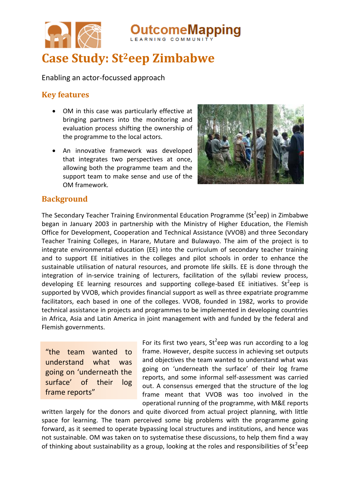

**Case Study: St2eep Zimbabwe**

Enabling an actor-focussed approach

## **Key features**

- OM in this case was particularly effective at bringing partners into the monitoring and evaluation process shifting the ownership of the programme to the local actors.
- An innovative framework was developed that integrates two perspectives at once, allowing both the programme team and the support team to make sense and use of the OM framework.



**pmeMapping** 

### **Background**

The Secondary Teacher Training Environmental Education Programme (St<sup>2</sup>eep) in Zimbabwe began in January 2003 in partnership with the Ministry of Higher Education, the Flemish Office for Development, Cooperation and Technical Assistance (VVOB) and three Secondary Teacher Training Colleges, in Harare, Mutare and Bulawayo. The aim of the project is to integrate environmental education (EE) into the curriculum of secondary teacher training and to support EE initiatives in the colleges and pilot schools in order to enhance the sustainable utilisation of natural resources, and promote life skills. EE is done through the integration of in-service training of lecturers, facilitation of the syllabi review process, developing EE learning resources and supporting college-based EE initiatives. St<sup>2</sup>eep is supported by VVOB, which provides financial support as well as three expatriate programme facilitators, each based in one of the colleges. VVOB, founded in 1982, works to provide technical assistance in projects and programmes to be implemented in developing countries in Africa, Asia and Latin America in joint management with and funded by the federal and Flemish governments.

"the team wanted to understand what was going on 'underneath the surface' of their log frame reports"

For its first two years,  $St^2$ eep was run according to a log frame. However, despite success in achieving set outputs and objectives the team wanted to understand what was going on 'underneath the surface' of their log frame reports, and some informal self-assessment was carried out. A consensus emerged that the structure of the log frame meant that VVOB was too involved in the operational running of the programme, with M&E reports

written largely for the donors and quite divorced from actual project planning, with little space for learning. The team perceived some big problems with the programme going forward, as it seemed to operate bypassing local structures and institutions, and hence was not sustainable. OM was taken on to systematise these discussions, to help them find a way of thinking about sustainability as a group, looking at the roles and responsibilities of St<sup>2</sup>eep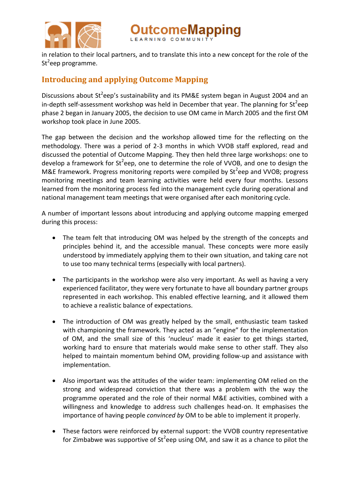

comeMapping

in relation to their local partners, and to translate this into a new concept for the role of the St<sup>2</sup>eep programme.

# **Introducing and applying Outcome Mapping**

Discussions about St<sup>2</sup>eep's sustainability and its PM&E system began in August 2004 and an in-depth self-assessment workshop was held in December that year. The planning for St<sup>2</sup>eep phase 2 began in January 2005, the decision to use OM came in March 2005 and the first OM workshop took place in June 2005.

The gap between the decision and the workshop allowed time for the reflecting on the methodology. There was a period of 2-3 months in which VVOB staff explored, read and discussed the potential of Outcome Mapping. They then held three large workshops: one to develop a framework for St<sup>2</sup>eep, one to determine the role of VVOB, and one to design the M&E framework. Progress monitoring reports were compiled by  ${\rm St}^2$ eep and VVOB; progress monitoring meetings and team learning activities were held every four months. Lessons learned from the monitoring process fed into the management cycle during operational and national management team meetings that were organised after each monitoring cycle.

A number of important lessons about introducing and applying outcome mapping emerged during this process:

- The team felt that introducing OM was helped by the strength of the concepts and principles behind it, and the accessible manual. These concepts were more easily understood by immediately applying them to their own situation, and taking care not to use too many technical terms (especially with local partners).
- The participants in the workshop were also very important. As well as having a very experienced facilitator, they were very fortunate to have all boundary partner groups represented in each workshop. This enabled effective learning, and it allowed them to achieve a realistic balance of expectations.
- The introduction of OM was greatly helped by the small, enthusiastic team tasked with championing the framework. They acted as an "engine" for the implementation of OM, and the small size of this 'nucleus' made it easier to get things started, working hard to ensure that materials would make sense to other staff. They also helped to maintain momentum behind OM, providing follow-up and assistance with implementation.
- Also important was the attitudes of the wider team: implementing OM relied on the strong and widespread conviction that there was a problem with the way the programme operated and the role of their normal M&E activities, combined with a willingness and knowledge to address such challenges head-on. It emphasises the importance of having people *convinced by* OM to be able to implement it properly.
- These factors were reinforced by external support: the VVOB country representative for Zimbabwe was supportive of St<sup>2</sup>eep using OM, and saw it as a chance to pilot the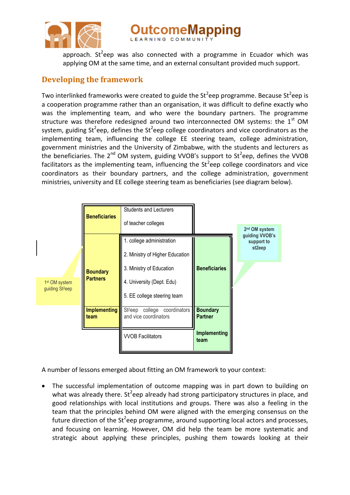

comeMapping

approach. St<sup>2</sup>eep was also connected with a programme in Ecuador which was applying OM at the same time, and an external consultant provided much support.

# **Developing the framework**

Two interlinked frameworks were created to guide the St<sup>2</sup>eep programme. Because St<sup>2</sup>eep is a cooperation programme rather than an organisation, it was difficult to define exactly who was the implementing team, and who were the boundary partners. The programme structure was therefore redesigned around two interconnected OM systems: the  $1<sup>st</sup>$  OM system, guiding St<sup>2</sup>eep, defines the St<sup>2</sup>eep college coordinators and vice coordinators as the implementing team, influencing the college EE steering team, college administration, government ministries and the University of Zimbabwe, with the students and lecturers as the beneficiaries. The 2<sup>nd</sup> OM system, guiding VVOB's support to St<sup>2</sup>eep, defines the VVOB facilitators as the implementing team, influencing the St<sup>2</sup>eep college coordinators and vice coordinators as their boundary partners, and the college administration, government ministries, university and EE college steering team as beneficiaries (see diagram below).



A number of lessons emerged about fitting an OM framework to your context:

 The successful implementation of outcome mapping was in part down to building on what was already there. St<sup>2</sup>eep already had strong participatory structures in place, and good relationships with local institutions and groups. There was also a feeling in the team that the principles behind OM were aligned with the emerging consensus on the future direction of the St<sup>2</sup>eep programme, around supporting local actors and processes, and focusing on learning. However, OM did help the team be more systematic and strategic about applying these principles, pushing them towards looking at their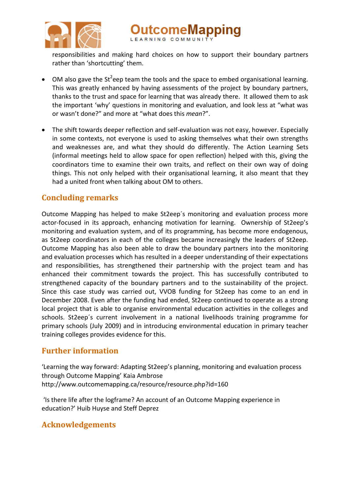

tcomeMapping

responsibilities and making hard choices on how to support their boundary partners rather than 'shortcutting' them.

- $\bullet$  OM also gave the St<sup>2</sup>eep team the tools and the space to embed organisational learning. This was greatly enhanced by having assessments of the project by boundary partners, thanks to the trust and space for learning that was already there. It allowed them to ask the important 'why' questions in monitoring and evaluation, and look less at "what was or wasn't done?" and more at "what does this *mean*?".
- The shift towards deeper reflection and self-evaluation was not easy, however. Especially in some contexts, not everyone is used to asking themselves what their own strengths and weaknesses are, and what they should do differently. The Action Learning Sets (informal meetings held to allow space for open reflection) helped with this, giving the coordinators time to examine their own traits, and reflect on their own way of doing things. This not only helped with their organisational learning, it also meant that they had a united front when talking about OM to others.

## **Concluding remarks**

Outcome Mapping has helped to make St2eep´s monitoring and evaluation process more actor-focused in its approach, enhancing motivation for learning. Ownership of St2eep's monitoring and evaluation system, and of its programming, has become more endogenous, as St2eep coordinators in each of the colleges became increasingly the leaders of St2eep. Outcome Mapping has also been able to draw the boundary partners into the monitoring and evaluation processes which has resulted in a deeper understanding of their expectations and responsibilities, has strengthened their partnership with the project team and has enhanced their commitment towards the project. This has successfully contributed to strengthened capacity of the boundary partners and to the sustainability of the project. Since this case study was carried out, VVOB funding for St2eep has come to an end in December 2008. Even after the funding had ended, St2eep continued to operate as a strong local project that is able to organise environmental education activities in the colleges and schools. St2eep´s current involvement in a national livelihoods training programme for primary schools (July 2009) and in introducing environmental education in primary teacher training colleges provides evidence for this.

# **Further information**

'Learning the way forward: Adapting St2eep's planning, monitoring and evaluation process through Outcome Mapping' Kaia Ambrose http://www.outcomemapping.ca/resource/resource.php?id=160

'Is there life after the logframe? An account of an Outcome Mapping experience in education?' Huib Huyse and Steff Deprez

### **Acknowledgements**